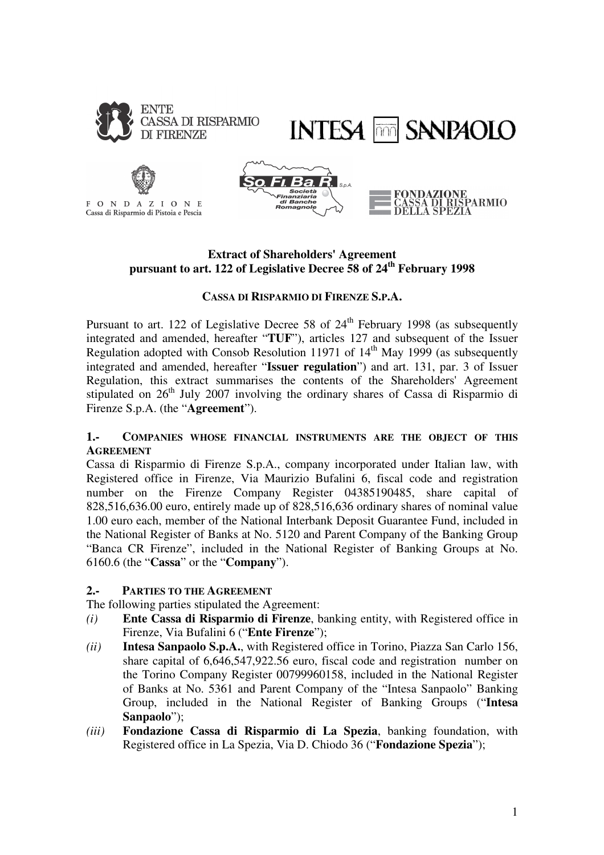



PARMIO



FONDAZIONE Cassa di Risparmio di Pistoia e Pescia



# **Extract of Shareholders' Agreement pursuant to art. 122 of Legislative Decree 58 of 24th February 1998**

# **CASSA DI RISPARMIO DI FIRENZE S.P.A.**

Pursuant to art. 122 of Legislative Decree 58 of  $24<sup>th</sup>$  February 1998 (as subsequently integrated and amended, hereafter "**TUF**"), articles 127 and subsequent of the Issuer Regulation adopted with Consob Resolution 11971 of  $14<sup>th</sup>$  May 1999 (as subsequently integrated and amended, hereafter "**Issuer regulation**") and art. 131, par. 3 of Issuer Regulation, this extract summarises the contents of the Shareholders' Agreement stipulated on  $26<sup>th</sup>$  July 2007 involving the ordinary shares of Cassa di Risparmio di Firenze S.p.A. (the "**Agreement**").

#### **1.- COMPANIES WHOSE FINANCIAL INSTRUMENTS ARE THE OBJECT OF THIS AGREEMENT**

Cassa di Risparmio di Firenze S.p.A., company incorporated under Italian law, with Registered office in Firenze, Via Maurizio Bufalini 6, fiscal code and registration number on the Firenze Company Register 04385190485, share capital of 828,516,636.00 euro, entirely made up of 828,516,636 ordinary shares of nominal value 1.00 euro each, member of the National Interbank Deposit Guarantee Fund, included in the National Register of Banks at No. 5120 and Parent Company of the Banking Group "Banca CR Firenze", included in the National Register of Banking Groups at No. 6160.6 (the "**Cassa**" or the "**Company**").

#### **2.- PARTIES TO THE AGREEMENT**

The following parties stipulated the Agreement:

- *(i)* **Ente Cassa di Risparmio di Firenze**, banking entity, with Registered office in Firenze, Via Bufalini 6 ("**Ente Firenze**");
- *(ii)* **Intesa Sanpaolo S.p.A.**, with Registered office in Torino, Piazza San Carlo 156, share capital of 6,646,547,922.56 euro, fiscal code and registration number on the Torino Company Register 00799960158, included in the National Register of Banks at No. 5361 and Parent Company of the "Intesa Sanpaolo" Banking Group, included in the National Register of Banking Groups ("**Intesa Sanpaolo**");
- *(iii)* **Fondazione Cassa di Risparmio di La Spezia**, banking foundation, with Registered office in La Spezia, Via D. Chiodo 36 ("**Fondazione Spezia**");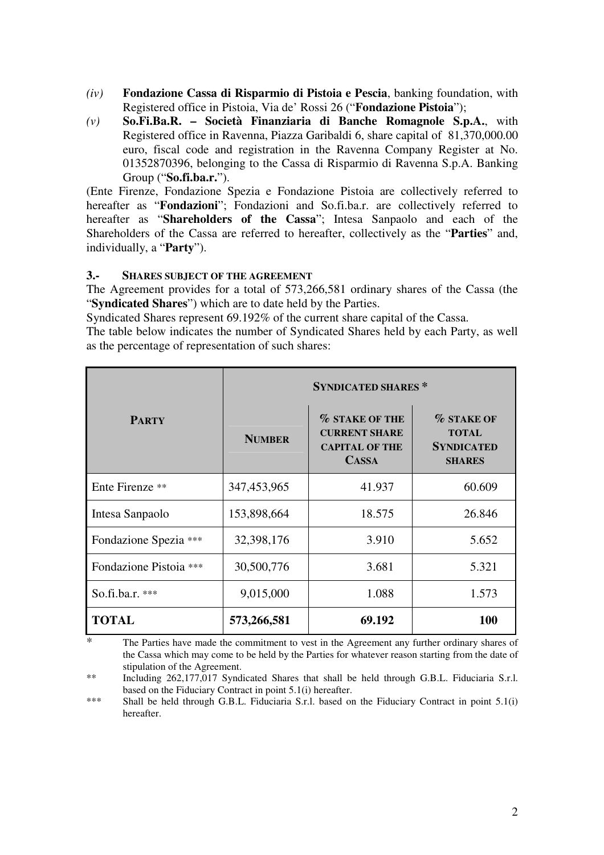- *(iv)* **Fondazione Cassa di Risparmio di Pistoia e Pescia**, banking foundation, with Registered office in Pistoia, Via de' Rossi 26 ("**Fondazione Pistoia**");
- *(v)* **So.Fi.Ba.R. Società Finanziaria di Banche Romagnole S.p.A.**, with Registered office in Ravenna, Piazza Garibaldi 6, share capital of 81,370,000.00 euro, fiscal code and registration in the Ravenna Company Register at No. 01352870396, belonging to the Cassa di Risparmio di Ravenna S.p.A. Banking Group ("**So.fi.ba.r.**").

(Ente Firenze, Fondazione Spezia e Fondazione Pistoia are collectively referred to hereafter as "**Fondazioni**"; Fondazioni and So.fi.ba.r. are collectively referred to hereafter as "**Shareholders of the Cassa**"; Intesa Sanpaolo and each of the Shareholders of the Cassa are referred to hereafter, collectively as the "**Parties**" and, individually, a "**Party**").

#### **3.- SHARES SUBJECT OF THE AGREEMENT**

The Agreement provides for a total of 573,266,581 ordinary shares of the Cassa (the "**Syndicated Shares**") which are to date held by the Parties.

Syndicated Shares represent 69.192% of the current share capital of the Cassa.

The table below indicates the number of Syndicated Shares held by each Party, as well as the percentage of representation of such shares:

| <b>PARTY</b>           | <b>SYNDICATED SHARES*</b> |                                                                                        |                                                                         |
|------------------------|---------------------------|----------------------------------------------------------------------------------------|-------------------------------------------------------------------------|
|                        | <b>NUMBER</b>             | <b>% STAKE OF THE</b><br><b>CURRENT SHARE</b><br><b>CAPITAL OF THE</b><br><b>CASSA</b> | <b>% STAKE OF</b><br><b>TOTAL</b><br><b>SYNDICATED</b><br><b>SHARES</b> |
| Ente Firenze **        | 347,453,965               | 41.937                                                                                 | 60.609                                                                  |
| Intesa Sanpaolo        | 153,898,664               | 18.575                                                                                 | 26.846                                                                  |
| Fondazione Spezia ***  | 32,398,176                | 3.910                                                                                  | 5.652                                                                   |
| Fondazione Pistoia *** | 30,500,776                | 3.681                                                                                  | 5.321                                                                   |
| So.fi.ba.r. ***        | 9,015,000                 | 1.088                                                                                  | 1.573                                                                   |
| <b>TOTAL</b>           | 573,266,581               | 69.192                                                                                 | <b>100</b>                                                              |

<sup>\*</sup> The Parties have made the commitment to vest in the Agreement any further ordinary shares of the Cassa which may come to be held by the Parties for whatever reason starting from the date of stipulation of the Agreement.

<sup>\*\*</sup> Including 262,177,017 Syndicated Shares that shall be held through G.B.L. Fiduciaria S.r.l. based on the Fiduciary Contract in point 5.1(i) hereafter.

<sup>\*\*\*</sup> Shall be held through G.B.L. Fiduciaria S.r.l. based on the Fiduciary Contract in point 5.1(i) hereafter.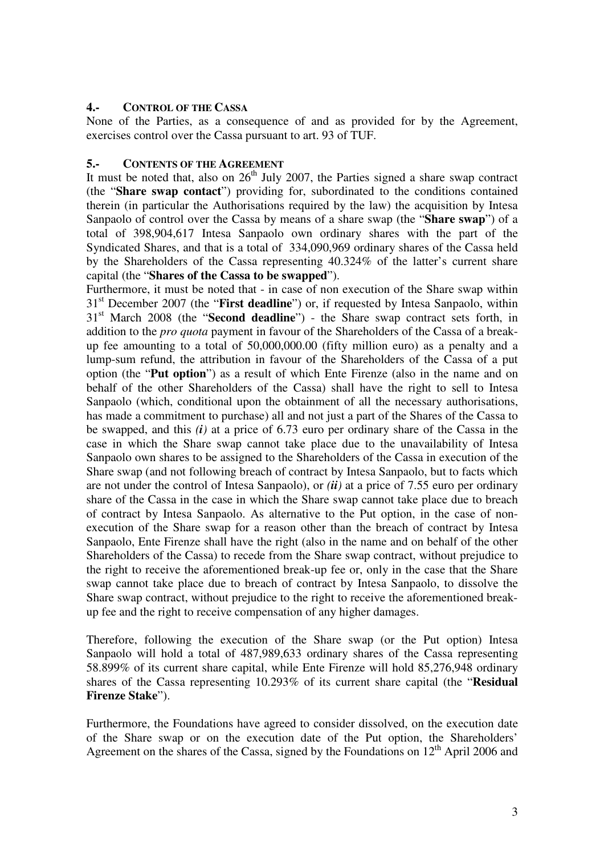#### **4.- CONTROL OF THE CASSA**

None of the Parties, as a consequence of and as provided for by the Agreement, exercises control over the Cassa pursuant to art. 93 of TUF.

#### **5.- CONTENTS OF THE AGREEMENT**

It must be noted that, also on  $26<sup>th</sup>$  July 2007, the Parties signed a share swap contract (the "**Share swap contact**") providing for, subordinated to the conditions contained therein (in particular the Authorisations required by the law) the acquisition by Intesa Sanpaolo of control over the Cassa by means of a share swap (the "**Share swap**") of a total of 398,904,617 Intesa Sanpaolo own ordinary shares with the part of the Syndicated Shares, and that is a total of 334,090,969 ordinary shares of the Cassa held by the Shareholders of the Cassa representing 40.324% of the latter's current share capital (the "**Shares of the Cassa to be swapped**").

Furthermore, it must be noted that - in case of non execution of the Share swap within 31<sup>st</sup> December 2007 (the "**First deadline**") or, if requested by Intesa Sanpaolo, within 31st March 2008 (the "**Second deadline**") - the Share swap contract sets forth, in addition to the *pro quota* payment in favour of the Shareholders of the Cassa of a breakup fee amounting to a total of 50,000,000.00 (fifty million euro) as a penalty and a lump-sum refund, the attribution in favour of the Shareholders of the Cassa of a put option (the "**Put option**") as a result of which Ente Firenze (also in the name and on behalf of the other Shareholders of the Cassa) shall have the right to sell to Intesa Sanpaolo (which, conditional upon the obtainment of all the necessary authorisations, has made a commitment to purchase) all and not just a part of the Shares of the Cassa to be swapped, and this *(i)* at a price of 6.73 euro per ordinary share of the Cassa in the case in which the Share swap cannot take place due to the unavailability of Intesa Sanpaolo own shares to be assigned to the Shareholders of the Cassa in execution of the Share swap (and not following breach of contract by Intesa Sanpaolo, but to facts which are not under the control of Intesa Sanpaolo), or *(ii)* at a price of 7.55 euro per ordinary share of the Cassa in the case in which the Share swap cannot take place due to breach of contract by Intesa Sanpaolo. As alternative to the Put option, in the case of nonexecution of the Share swap for a reason other than the breach of contract by Intesa Sanpaolo, Ente Firenze shall have the right (also in the name and on behalf of the other Shareholders of the Cassa) to recede from the Share swap contract, without prejudice to the right to receive the aforementioned break-up fee or, only in the case that the Share swap cannot take place due to breach of contract by Intesa Sanpaolo, to dissolve the Share swap contract, without prejudice to the right to receive the aforementioned breakup fee and the right to receive compensation of any higher damages.

Therefore, following the execution of the Share swap (or the Put option) Intesa Sanpaolo will hold a total of 487,989,633 ordinary shares of the Cassa representing 58.899% of its current share capital, while Ente Firenze will hold 85,276,948 ordinary shares of the Cassa representing 10.293% of its current share capital (the "**Residual Firenze Stake**").

Furthermore, the Foundations have agreed to consider dissolved, on the execution date of the Share swap or on the execution date of the Put option, the Shareholders' Agreement on the shares of the Cassa, signed by the Foundations on  $12<sup>th</sup>$  April 2006 and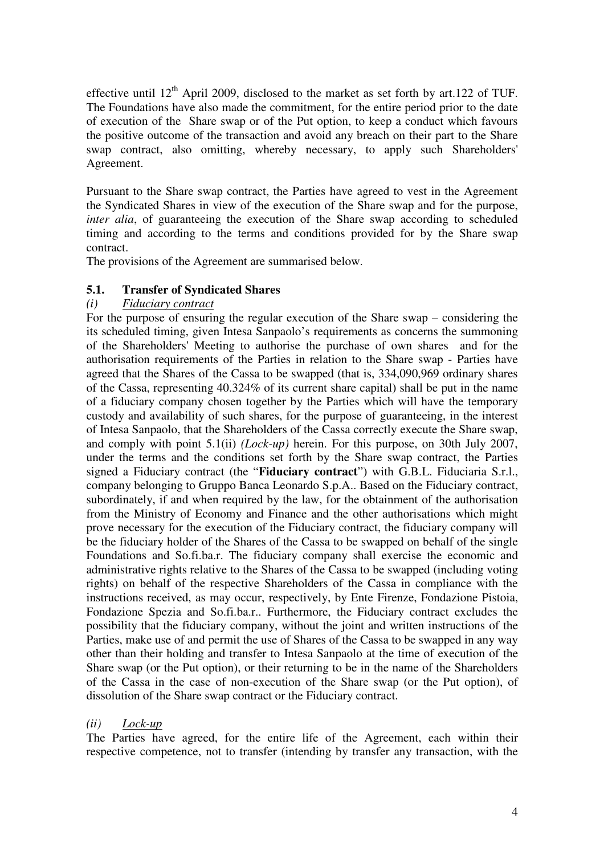effective until  $12<sup>th</sup>$  April 2009, disclosed to the market as set forth by art.122 of TUF. The Foundations have also made the commitment, for the entire period prior to the date of execution of the Share swap or of the Put option, to keep a conduct which favours the positive outcome of the transaction and avoid any breach on their part to the Share swap contract, also omitting, whereby necessary, to apply such Shareholders' Agreement.

Pursuant to the Share swap contract, the Parties have agreed to vest in the Agreement the Syndicated Shares in view of the execution of the Share swap and for the purpose, *inter alia*, of guaranteeing the execution of the Share swap according to scheduled timing and according to the terms and conditions provided for by the Share swap contract.

The provisions of the Agreement are summarised below.

# **5.1. Transfer of Syndicated Shares**

# *(i) Fiduciary contract*

For the purpose of ensuring the regular execution of the Share swap – considering the its scheduled timing, given Intesa Sanpaolo's requirements as concerns the summoning of the Shareholders' Meeting to authorise the purchase of own shares and for the authorisation requirements of the Parties in relation to the Share swap - Parties have agreed that the Shares of the Cassa to be swapped (that is, 334,090,969 ordinary shares of the Cassa, representing 40.324% of its current share capital) shall be put in the name of a fiduciary company chosen together by the Parties which will have the temporary custody and availability of such shares, for the purpose of guaranteeing, in the interest of Intesa Sanpaolo, that the Shareholders of the Cassa correctly execute the Share swap, and comply with point 5.1(ii) *(Lock-up)* herein. For this purpose, on 30th July 2007, under the terms and the conditions set forth by the Share swap contract, the Parties signed a Fiduciary contract (the "**Fiduciary contract**") with G.B.L. Fiduciaria S.r.l., company belonging to Gruppo Banca Leonardo S.p.A.. Based on the Fiduciary contract, subordinately, if and when required by the law, for the obtainment of the authorisation from the Ministry of Economy and Finance and the other authorisations which might prove necessary for the execution of the Fiduciary contract, the fiduciary company will be the fiduciary holder of the Shares of the Cassa to be swapped on behalf of the single Foundations and So.fi.ba.r. The fiduciary company shall exercise the economic and administrative rights relative to the Shares of the Cassa to be swapped (including voting rights) on behalf of the respective Shareholders of the Cassa in compliance with the instructions received, as may occur, respectively, by Ente Firenze, Fondazione Pistoia, Fondazione Spezia and So.fi.ba.r.. Furthermore, the Fiduciary contract excludes the possibility that the fiduciary company, without the joint and written instructions of the Parties, make use of and permit the use of Shares of the Cassa to be swapped in any way other than their holding and transfer to Intesa Sanpaolo at the time of execution of the Share swap (or the Put option), or their returning to be in the name of the Shareholders of the Cassa in the case of non-execution of the Share swap (or the Put option), of dissolution of the Share swap contract or the Fiduciary contract.

# *(ii) Lock-up*

The Parties have agreed, for the entire life of the Agreement, each within their respective competence, not to transfer (intending by transfer any transaction, with the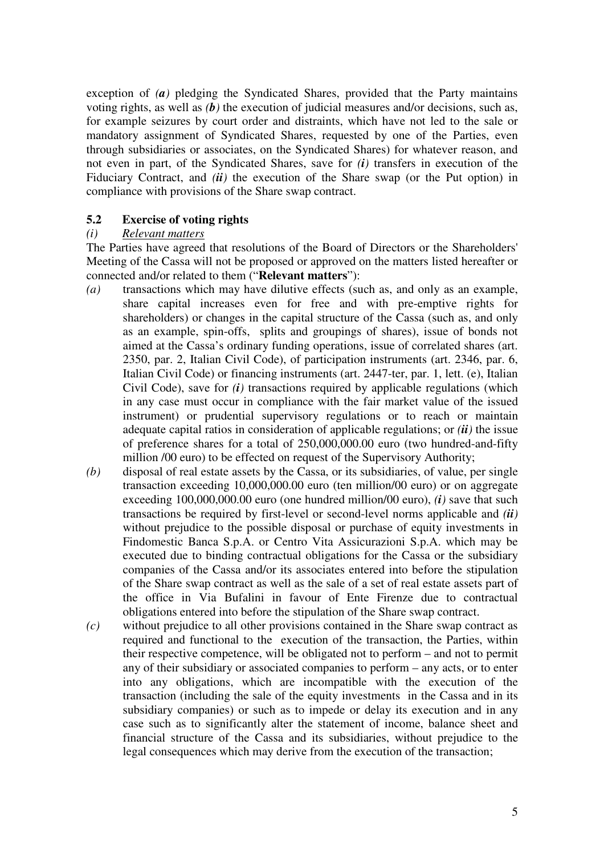exception of *(a)* pledging the Syndicated Shares, provided that the Party maintains voting rights, as well as *(b)* the execution of judicial measures and/or decisions, such as, for example seizures by court order and distraints, which have not led to the sale or mandatory assignment of Syndicated Shares, requested by one of the Parties, even through subsidiaries or associates, on the Syndicated Shares) for whatever reason, and not even in part, of the Syndicated Shares, save for *(i)* transfers in execution of the Fiduciary Contract, and *(ii)* the execution of the Share swap (or the Put option) in compliance with provisions of the Share swap contract.

# **5.2 Exercise of voting rights**

#### *(i) Relevant matters*

The Parties have agreed that resolutions of the Board of Directors or the Shareholders' Meeting of the Cassa will not be proposed or approved on the matters listed hereafter or connected and/or related to them ("**Relevant matters**"):

- *(a)* transactions which may have dilutive effects (such as, and only as an example, share capital increases even for free and with pre-emptive rights for shareholders) or changes in the capital structure of the Cassa (such as, and only as an example, spin-offs, splits and groupings of shares), issue of bonds not aimed at the Cassa's ordinary funding operations, issue of correlated shares (art. 2350, par. 2, Italian Civil Code), of participation instruments (art. 2346, par. 6, Italian Civil Code) or financing instruments (art. 2447-ter, par. 1, lett. (e), Italian Civil Code), save for  $(i)$  transactions required by applicable regulations (which in any case must occur in compliance with the fair market value of the issued instrument) or prudential supervisory regulations or to reach or maintain adequate capital ratios in consideration of applicable regulations; or *(ii)* the issue of preference shares for a total of 250,000,000.00 euro (two hundred-and-fifty million /00 euro) to be effected on request of the Supervisory Authority;
- *(b)* disposal of real estate assets by the Cassa, or its subsidiaries, of value, per single transaction exceeding 10,000,000.00 euro (ten million/00 euro) or on aggregate exceeding 100,000,000.00 euro (one hundred million/00 euro), *(i)* save that such transactions be required by first-level or second-level norms applicable and *(ii)* without prejudice to the possible disposal or purchase of equity investments in Findomestic Banca S.p.A. or Centro Vita Assicurazioni S.p.A. which may be executed due to binding contractual obligations for the Cassa or the subsidiary companies of the Cassa and/or its associates entered into before the stipulation of the Share swap contract as well as the sale of a set of real estate assets part of the office in Via Bufalini in favour of Ente Firenze due to contractual obligations entered into before the stipulation of the Share swap contract.
- *(c)* without prejudice to all other provisions contained in the Share swap contract as required and functional to the execution of the transaction, the Parties, within their respective competence, will be obligated not to perform – and not to permit any of their subsidiary or associated companies to perform – any acts, or to enter into any obligations, which are incompatible with the execution of the transaction (including the sale of the equity investments in the Cassa and in its subsidiary companies) or such as to impede or delay its execution and in any case such as to significantly alter the statement of income, balance sheet and financial structure of the Cassa and its subsidiaries, without prejudice to the legal consequences which may derive from the execution of the transaction;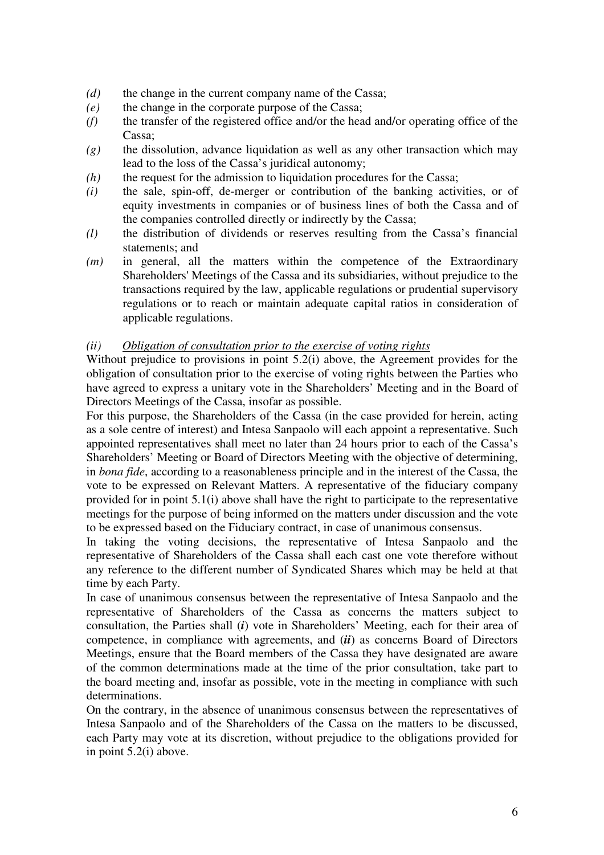- *(d)* the change in the current company name of the Cassa;
- *(e)* the change in the corporate purpose of the Cassa;
- *(f)* the transfer of the registered office and/or the head and/or operating office of the Cassa;
- *(g)* the dissolution, advance liquidation as well as any other transaction which may lead to the loss of the Cassa's juridical autonomy;
- *(h)* the request for the admission to liquidation procedures for the Cassa;
- *(i)* the sale, spin-off, de-merger or contribution of the banking activities, or of equity investments in companies or of business lines of both the Cassa and of the companies controlled directly or indirectly by the Cassa;
- *(l)* the distribution of dividends or reserves resulting from the Cassa's financial statements; and
- *(m)* in general, all the matters within the competence of the Extraordinary Shareholders' Meetings of the Cassa and its subsidiaries, without prejudice to the transactions required by the law, applicable regulations or prudential supervisory regulations or to reach or maintain adequate capital ratios in consideration of applicable regulations.

#### *(ii) Obligation of consultation prior to the exercise of voting rights*

Without prejudice to provisions in point 5.2(i) above, the Agreement provides for the obligation of consultation prior to the exercise of voting rights between the Parties who have agreed to express a unitary vote in the Shareholders' Meeting and in the Board of Directors Meetings of the Cassa, insofar as possible.

For this purpose, the Shareholders of the Cassa (in the case provided for herein, acting as a sole centre of interest) and Intesa Sanpaolo will each appoint a representative. Such appointed representatives shall meet no later than 24 hours prior to each of the Cassa's Shareholders' Meeting or Board of Directors Meeting with the objective of determining, in *bona fide*, according to a reasonableness principle and in the interest of the Cassa, the vote to be expressed on Relevant Matters. A representative of the fiduciary company provided for in point 5.1(i) above shall have the right to participate to the representative meetings for the purpose of being informed on the matters under discussion and the vote to be expressed based on the Fiduciary contract, in case of unanimous consensus.

In taking the voting decisions, the representative of Intesa Sanpaolo and the representative of Shareholders of the Cassa shall each cast one vote therefore without any reference to the different number of Syndicated Shares which may be held at that time by each Party.

In case of unanimous consensus between the representative of Intesa Sanpaolo and the representative of Shareholders of the Cassa as concerns the matters subject to consultation, the Parties shall (*i*) vote in Shareholders' Meeting, each for their area of competence, in compliance with agreements, and (*ii*) as concerns Board of Directors Meetings, ensure that the Board members of the Cassa they have designated are aware of the common determinations made at the time of the prior consultation, take part to the board meeting and, insofar as possible, vote in the meeting in compliance with such determinations.

On the contrary, in the absence of unanimous consensus between the representatives of Intesa Sanpaolo and of the Shareholders of the Cassa on the matters to be discussed, each Party may vote at its discretion, without prejudice to the obligations provided for in point 5.2(i) above.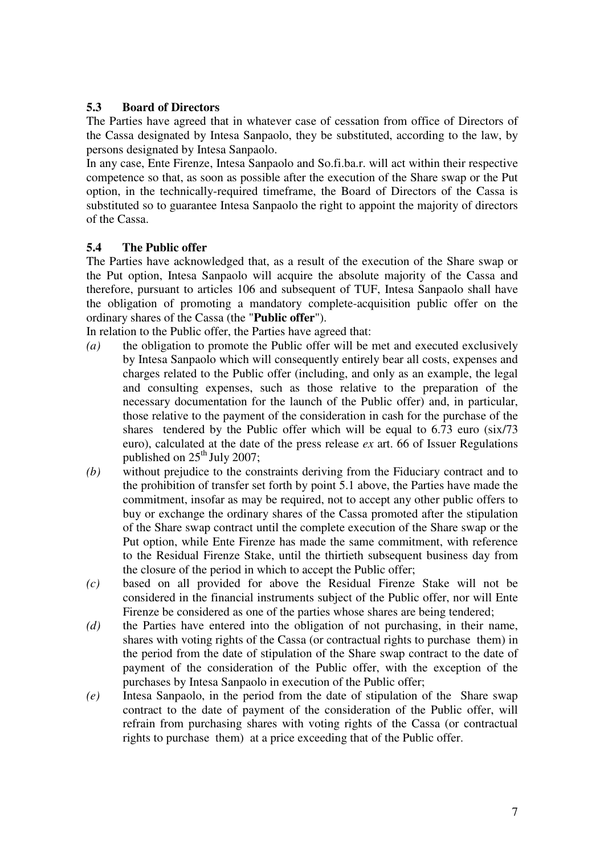# **5.3 Board of Directors**

The Parties have agreed that in whatever case of cessation from office of Directors of the Cassa designated by Intesa Sanpaolo, they be substituted, according to the law, by persons designated by Intesa Sanpaolo.

In any case, Ente Firenze, Intesa Sanpaolo and So.fi.ba.r. will act within their respective competence so that, as soon as possible after the execution of the Share swap or the Put option, in the technically-required timeframe, the Board of Directors of the Cassa is substituted so to guarantee Intesa Sanpaolo the right to appoint the majority of directors of the Cassa.

# **5.4 The Public offer**

The Parties have acknowledged that, as a result of the execution of the Share swap or the Put option, Intesa Sanpaolo will acquire the absolute majority of the Cassa and therefore, pursuant to articles 106 and subsequent of TUF, Intesa Sanpaolo shall have the obligation of promoting a mandatory complete-acquisition public offer on the ordinary shares of the Cassa (the "**Public offer**").

In relation to the Public offer, the Parties have agreed that:

- *(a)* the obligation to promote the Public offer will be met and executed exclusively by Intesa Sanpaolo which will consequently entirely bear all costs, expenses and charges related to the Public offer (including, and only as an example, the legal and consulting expenses, such as those relative to the preparation of the necessary documentation for the launch of the Public offer) and, in particular, those relative to the payment of the consideration in cash for the purchase of the shares tendered by the Public offer which will be equal to 6.73 euro (six/73 euro), calculated at the date of the press release *ex* art. 66 of Issuer Regulations published on  $25<sup>th</sup>$  July 2007;
- *(b)* without prejudice to the constraints deriving from the Fiduciary contract and to the prohibition of transfer set forth by point 5.1 above, the Parties have made the commitment, insofar as may be required, not to accept any other public offers to buy or exchange the ordinary shares of the Cassa promoted after the stipulation of the Share swap contract until the complete execution of the Share swap or the Put option, while Ente Firenze has made the same commitment, with reference to the Residual Firenze Stake, until the thirtieth subsequent business day from the closure of the period in which to accept the Public offer;
- *(c)* based on all provided for above the Residual Firenze Stake will not be considered in the financial instruments subject of the Public offer, nor will Ente Firenze be considered as one of the parties whose shares are being tendered;
- *(d)* the Parties have entered into the obligation of not purchasing, in their name, shares with voting rights of the Cassa (or contractual rights to purchase them) in the period from the date of stipulation of the Share swap contract to the date of payment of the consideration of the Public offer, with the exception of the purchases by Intesa Sanpaolo in execution of the Public offer;
- *(e)* Intesa Sanpaolo, in the period from the date of stipulation of the Share swap contract to the date of payment of the consideration of the Public offer, will refrain from purchasing shares with voting rights of the Cassa (or contractual rights to purchase them) at a price exceeding that of the Public offer.